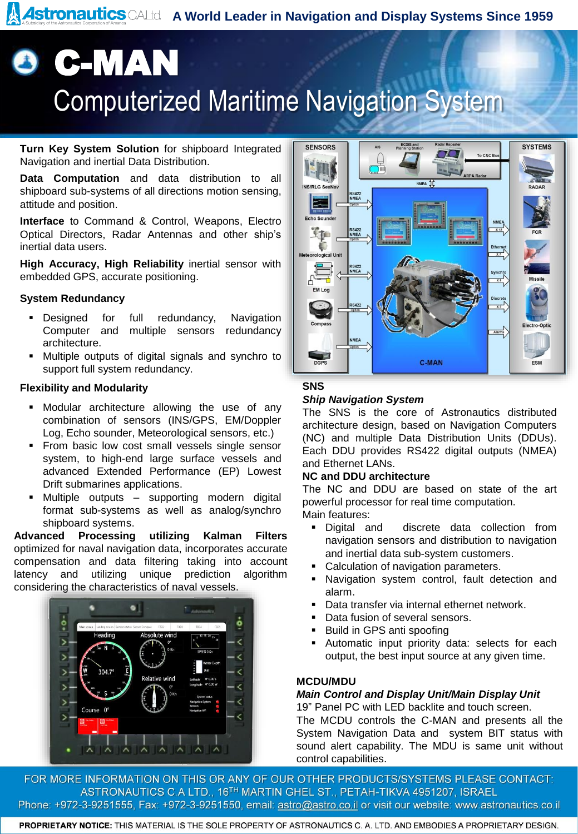**Astronautics** CALtd A World Leader in Navigation and Display Systems Since 1959

# **8 C-MAN** Computerized Maritime Navigation System

**Turn Key System Solution** for shipboard Integrated Navigation and inertial Data Distribution.

**Data Computation** and data distribution to all shipboard sub-systems of all directions motion sensing, attitude and position.

**Interface** to Command & Control, Weapons, Electro Optical Directors, Radar Antennas and other ship's inertial data users.

**High Accuracy, High Reliability** inertial sensor with embedded GPS, accurate positioning.

### **System Redundancy**

- **•** Designed for full redundancy, Navigation Computer and multiple sensors redundancy architecture.
- Multiple outputs of digital signals and synchro to support full system redundancy.

#### **Flexibility and Modularity**

- Modular architecture allowing the use of any combination of sensors (INS/GPS, EM/Doppler Log, Echo sounder, Meteorological sensors, etc.)
- **From basic low cost small vessels single sensor** system, to high-end large surface vessels and advanced Extended Performance (EP) Lowest Drift submarines applications.
- Multiple outputs supporting modern digital format sub-systems as well as analog/synchro shipboard systems.

**Advanced Processing utilizing Kalman Filters** optimized for naval navigation data, incorporates accurate compensation and data filtering taking into account latency and utilizing unique prediction algorithm considering the characteristics of naval vessels.





# **SNS**

### *Ship Navigation System*

The SNS is the core of Astronautics distributed architecture design, based on Navigation Computers (NC) and multiple Data Distribution Units (DDUs). Each DDU provides RS422 digital outputs (NMEA) and Ethernet LANs.

#### **NC and DDU architecture**

The NC and DDU are based on state of the art powerful processor for real time computation. Main features:

- Digital and discrete data collection from navigation sensors and distribution to navigation and inertial data sub-system customers.
- Calculation of navigation parameters.
- Navigation system control, fault detection and alarm.
- **Data transfer via internal ethernet network.**
- Data fusion of several sensors.
- Build in GPS anti spoofing
- Automatic input priority data: selects for each output, the best input source at any given time.

### **MCDU/MDU**

## *Main Control and Display Unit/Main Display Unit*

19" Panel PC with LED backlite and touch screen. The MCDU controls the C-MAN and presents all the System Navigation Data and system BIT status with sound alert capability. The MDU is same unit without control capabilities.

FOR MORE INFORMATION ON THIS OR ANY OF OUR OTHER PRODUCTS/SYSTEMS PLEASE CONTACT: ASTRONAUTICS C.A LTD., 16<sup>TH</sup> MARTIN GHEL ST., PETAH-TIKVA 4951207, ISRAEL Phone: +972-3-9251555, Fax: +972-3-9251550, email: astro@astro.co.il or visit our website: www.astronautics.co.il

PROPRIETARY NOTICE: THIS MATERIAL IS THE SOLE PROPERTY OF ASTRONAUTICS C. A. LTD. AND EMBODIES A PROPRIETARY DESIGN.